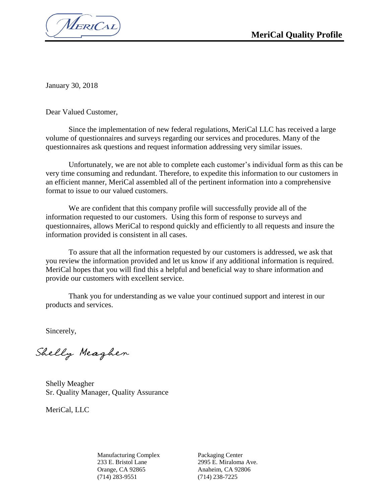MERICAL

January 30, 2018

Dear Valued Customer,

Since the implementation of new federal regulations, MeriCal LLC has received a large volume of questionnaires and surveys regarding our services and procedures. Many of the questionnaires ask questions and request information addressing very similar issues.

Unfortunately, we are not able to complete each customer's individual form as this can be very time consuming and redundant. Therefore, to expedite this information to our customers in an efficient manner, MeriCal assembled all of the pertinent information into a comprehensive format to issue to our valued customers.

We are confident that this company profile will successfully provide all of the information requested to our customers. Using this form of response to surveys and questionnaires, allows MeriCal to respond quickly and efficiently to all requests and insure the information provided is consistent in all cases.

To assure that all the information requested by our customers is addressed, we ask that you review the information provided and let us know if any additional information is required. MeriCal hopes that you will find this a helpful and beneficial way to share information and provide our customers with excellent service.

Thank you for understanding as we value your continued support and interest in our products and services.

Sincerely,

Shelly Meagher

Shelly Meagher Sr. Quality Manager, Quality Assurance

MeriCal, LLC

Manufacturing Complex 233 E. Bristol Lane Orange, CA 92865 (714) 283-9551

Packaging Center 2995 E. Miraloma Ave. Anaheim, CA 92806 (714) 238-7225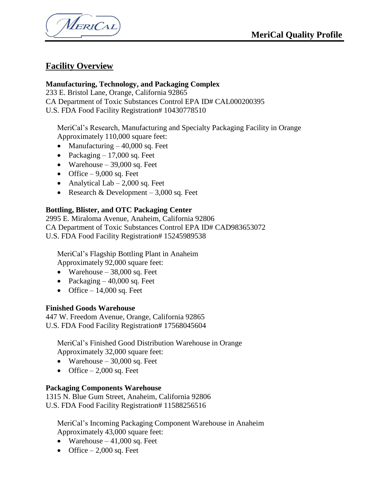MERICAL

### **Facility Overview**

### **Manufacturing, Technology, and Packaging Complex**

233 E. Bristol Lane, Orange, California 92865 CA Department of Toxic Substances Control EPA ID# CAL000200395 U.S. FDA Food Facility Registration# 10430778510

MeriCal's Research, Manufacturing and Specialty Packaging Facility in Orange Approximately 110,000 square feet:

- Manufacturing  $-40,000$  sq. Feet
- Packaging  $-17,000$  sq. Feet
- Warehouse  $-39,000$  sq. Feet
- Office  $-9,000$  sq. Feet
- Analytical Lab  $-2,000$  sq. Feet
- Research & Development  $-3,000$  sq. Feet

### **Bottling, Blister, and OTC Packaging Center**

2995 E. Miraloma Avenue, Anaheim, California 92806 CA Department of Toxic Substances Control EPA ID# CAD983653072 U.S. FDA Food Facility Registration# 15245989538

MeriCal's Flagship Bottling Plant in Anaheim Approximately 92,000 square feet:

- Warehouse  $-38,000$  sq. Feet
- Packaging  $-40,000$  sq. Feet
- Office  $-14,000$  sq. Feet

### **Finished Goods Warehouse**

447 W. Freedom Avenue, Orange, California 92865 U.S. FDA Food Facility Registration# 17568045604

MeriCal's Finished Good Distribution Warehouse in Orange Approximately 32,000 square feet:

- Warehouse  $-30,000$  sq. Feet
- Office  $-2,000$  sq. Feet

### **Packaging Components Warehouse**

1315 N. Blue Gum Street, Anaheim, California 92806 U.S. FDA Food Facility Registration# 11588256516

MeriCal's Incoming Packaging Component Warehouse in Anaheim Approximately 43,000 square feet:

- Warehouse  $-41,000$  sq. Feet
- Office  $-2,000$  sq. Feet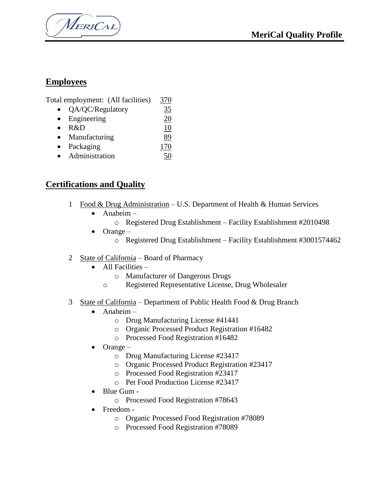MERICAL

### **Employees**

| Total employment: (All facilities) | 370 |
|------------------------------------|-----|
|                                    |     |

- QA/QC/Regulatory 35
- Engineering 20 • R&D 10
- Manufacturing 89
- Packaging 170
- Administration 50

### **Certifications and Quality**

- 1 Food & Drug Administration U.S. Department of Health & Human Services
	- $\bullet$  Anaheim
		- o Registered Drug Establishment Facility Establishment #2010498
	- $\bullet$  Orange
		- o Registered Drug Establishment Facility Establishment #3001574462
- 2 State of California Board of Pharmacy
	- $\bullet$  All Facilities
		- o Manufacturer of Dangerous Drugs
		- o Registered Representative License, Drug Wholesaler
- 3 State of California Department of Public Health Food & Drug Branch
	- Anaheim
		- o Drug Manufacturing License #41441
		- o Organic Processed Product Registration #16482
		- o Processed Food Registration #16482
	- $\bullet$  Orange
		- o Drug Manufacturing License #23417
		- o Organic Processed Product Registration #23417
		- o Processed Food Registration #23417
		- o Pet Food Production License #23417
	- Blue Gum
		- o Processed Food Registration #78643
	- Freedom
		- o Organic Processed Food Registration #78089
		- o Processed Food Registration #78089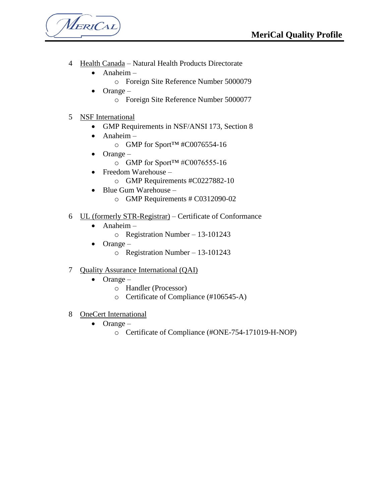MERICAL

- 4 Health Canada Natural Health Products Directorate
	- Anaheim
		- o Foreign Site Reference Number 5000079
	- $\bullet$  Orange
		- o Foreign Site Reference Number 5000077
- 5 NSF International
	- GMP Requirements in NSF/ANSI 173, Section 8
	- Anaheim
		- o GMP for Sport™ #C0076554-16
	- $\bullet$  Orange
		- o GMP for Sport™ #C0076555-16
	- Freedom Warehouse
		- o GMP Requirements #C0227882-10
	- Blue Gum Warehouse
		- o GMP Requirements # C0312090-02
- 6 UL (formerly STR-Registrar) Certificate of Conformance
	- Anaheim
		- o Registration Number 13-101243
	- $\bullet$  Orange
		- o Registration Number 13-101243
- 7 Quality Assurance International (QAI)
	- $\bullet$  Orange
		- o Handler (Processor)
		- o Certificate of Compliance (#106545-A)
- 8 OneCert International
	- $\bullet$  Orange
		- o Certificate of Compliance (#ONE-754-171019-H-NOP)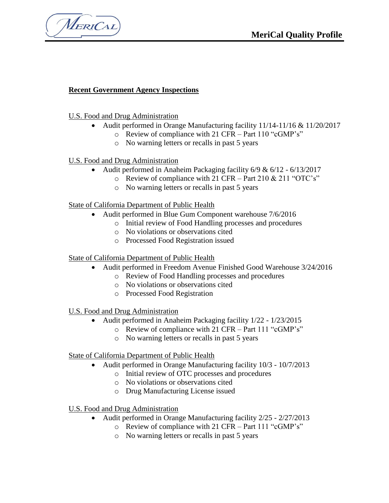MERICAL

### **Recent Government Agency Inspections**

#### U.S. Food and Drug Administration

- Audit performed in Orange Manufacturing facility 11/14-11/16 & 11/20/2017
	- o Review of compliance with 21 CFR Part 110 "cGMP's"
	- o No warning letters or recalls in past 5 years

### U.S. Food and Drug Administration

- Audit performed in Anaheim Packaging facility 6/9 & 6/12 6/13/2017
	- $\circ$  Review of compliance with 21 CFR Part 210 & 211 "OTC's"
	- o No warning letters or recalls in past 5 years

#### State of California Department of Public Health

- Audit performed in Blue Gum Component warehouse  $7/6/2016$ 
	- o Initial review of Food Handling processes and procedures
	- o No violations or observations cited
	- o Processed Food Registration issued

#### State of California Department of Public Health

- Audit performed in Freedom Avenue Finished Good Warehouse 3/24/2016
	- o Review of Food Handling processes and procedures
	- o No violations or observations cited
	- o Processed Food Registration

### U.S. Food and Drug Administration

- Audit performed in Anaheim Packaging facility  $1/22 1/23/2015$ 
	- o Review of compliance with 21 CFR Part 111 "cGMP's"
	- o No warning letters or recalls in past 5 years

#### State of California Department of Public Health

- Audit performed in Orange Manufacturing facility 10/3 10/7/2013
	- o Initial review of OTC processes and procedures
	- o No violations or observations cited
	- o Drug Manufacturing License issued

### U.S. Food and Drug Administration

- Audit performed in Orange Manufacturing facility 2/25 2/27/2013
	- o Review of compliance with 21 CFR Part 111 "cGMP's"
	- o No warning letters or recalls in past 5 years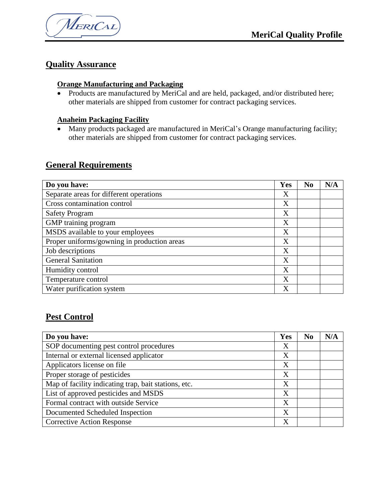

### **Quality Assurance**

### **Orange Manufacturing and Packaging**

• Products are manufactured by MeriCal and are held, packaged, and/or distributed here; other materials are shipped from customer for contract packaging services.

### **Anaheim Packaging Facility**

 Many products packaged are manufactured in MeriCal's Orange manufacturing facility; other materials are shipped from customer for contract packaging services.

### **General Requirements**

| Do you have:                                | Yes | N <sub>0</sub> | N/A |
|---------------------------------------------|-----|----------------|-----|
| Separate areas for different operations     | Χ   |                |     |
| Cross contamination control                 | X   |                |     |
| <b>Safety Program</b>                       | Χ   |                |     |
| GMP training program                        | Χ   |                |     |
| MSDS available to your employees            | X   |                |     |
| Proper uniforms/gowning in production areas | X   |                |     |
| Job descriptions                            | X   |                |     |
| <b>General Sanitation</b>                   | X   |                |     |
| Humidity control                            | X   |                |     |
| Temperature control                         | X   |                |     |
| Water purification system                   | X   |                |     |

### **Pest Control**

| Do you have:                                         | Yes | N <sub>0</sub> | N/A |
|------------------------------------------------------|-----|----------------|-----|
| SOP documenting pest control procedures              | Χ   |                |     |
| Internal or external licensed applicator             | Χ   |                |     |
| Applicators license on file                          | X   |                |     |
| Proper storage of pesticides                         | X   |                |     |
| Map of facility indicating trap, bait stations, etc. | Χ   |                |     |
| List of approved pesticides and MSDS                 | X   |                |     |
| Formal contract with outside Service                 | X   |                |     |
| Documented Scheduled Inspection                      | X   |                |     |
| <b>Corrective Action Response</b>                    | Χ   |                |     |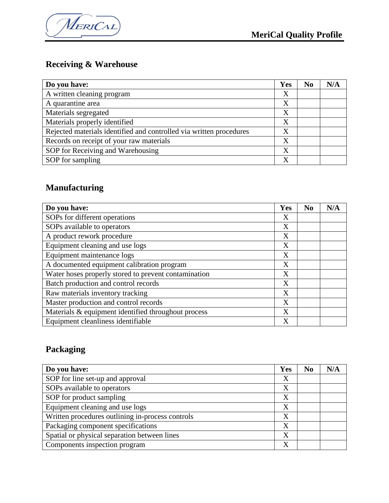

# **Receiving & Warehouse**

| Do you have:                                                        | Yes | N <sub>0</sub> | N/A |
|---------------------------------------------------------------------|-----|----------------|-----|
| A written cleaning program                                          | X   |                |     |
| A quarantine area                                                   | X   |                |     |
| Materials segregated                                                | X   |                |     |
| Materials properly identified                                       | X   |                |     |
| Rejected materials identified and controlled via written procedures | X   |                |     |
| Records on receipt of your raw materials                            | X   |                |     |
| SOP for Receiving and Warehousing                                   | X   |                |     |
| SOP for sampling                                                    | X   |                |     |

## **Manufacturing**

| Do you have:                                         | Yes | N <sub>0</sub> | N/A |
|------------------------------------------------------|-----|----------------|-----|
| SOPs for different operations                        | X   |                |     |
| SOPs available to operators                          | X   |                |     |
| A product rework procedure                           | X   |                |     |
| Equipment cleaning and use logs                      | X   |                |     |
| Equipment maintenance logs                           | X   |                |     |
| A documented equipment calibration program           | X   |                |     |
| Water hoses properly stored to prevent contamination | X   |                |     |
| Batch production and control records                 | X   |                |     |
| Raw materials inventory tracking                     | X   |                |     |
| Master production and control records                | X   |                |     |
| Materials & equipment identified throughout process  | X   |                |     |
| Equipment cleanliness identifiable                   | X   |                |     |

# **Packaging**

| Do you have:                                     | Yes               | N <sub>0</sub> | N/A |
|--------------------------------------------------|-------------------|----------------|-----|
| SOP for line set-up and approval                 | X                 |                |     |
| SOPs available to operators                      | X                 |                |     |
| SOP for product sampling                         | X                 |                |     |
| Equipment cleaning and use logs                  | X                 |                |     |
| Written procedures outlining in-process controls | X                 |                |     |
| Packaging component specifications               | X                 |                |     |
| Spatial or physical separation between lines     | X                 |                |     |
| Components inspection program                    | $\rm\overline{X}$ |                |     |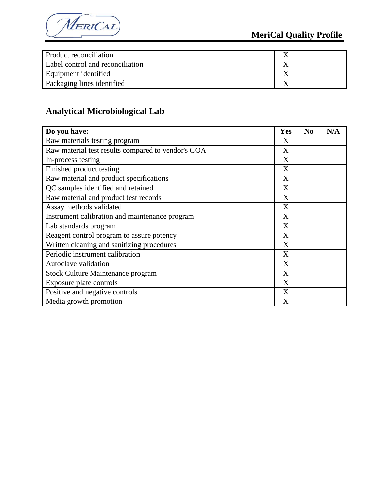

| Product reconciliation           |  |  |
|----------------------------------|--|--|
| Label control and reconciliation |  |  |
| Equipment identified             |  |  |
| Packaging lines identified       |  |  |

# **Analytical Microbiological Lab**

| Do you have:                                       | Yes | N <sub>0</sub> | N/A |
|----------------------------------------------------|-----|----------------|-----|
| Raw materials testing program                      | X   |                |     |
| Raw material test results compared to vendor's COA | X   |                |     |
| In-process testing                                 | X   |                |     |
| Finished product testing                           | X   |                |     |
| Raw material and product specifications            | X   |                |     |
| QC samples identified and retained                 | X   |                |     |
| Raw material and product test records              | X   |                |     |
| Assay methods validated                            | X   |                |     |
| Instrument calibration and maintenance program     | X   |                |     |
| Lab standards program                              | X   |                |     |
| Reagent control program to assure potency          | X   |                |     |
| Written cleaning and sanitizing procedures         | X   |                |     |
| Periodic instrument calibration                    | X   |                |     |
| Autoclave validation                               | X   |                |     |
| <b>Stock Culture Maintenance program</b>           | X   |                |     |
| Exposure plate controls                            | X   |                |     |
| Positive and negative controls                     | X   |                |     |
| Media growth promotion                             | X   |                |     |